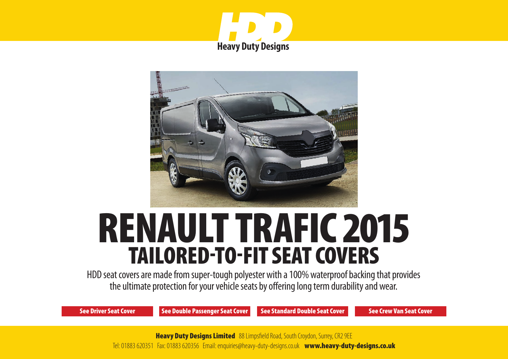



# RENAULT TRAFIC 2015 TAILORED-TO-FIT SEAT COVERS

HDD seat covers are made from super-tough polyester with a 100% waterproof backing that provides the ultimate protection for your vehicle seats by offering long term durability and wear.

[See Driver Seat Cover](#page-1-0) [See Double Passenger Seat Cover](#page-2-0) [See Standard Double Seat Cover](#page-3-0) [See Crew Van Seat Cover](#page-4-0)

**Heavy Duty Designs Limited** 88 Limpsfield Road, South Croydon, Surrey, CR2 9EE Tel: 01883 620351 Fax: 01883 620356 Email: enquiries@heavy-duty-designs.co.uk www.heavy-duty-designs.co.uk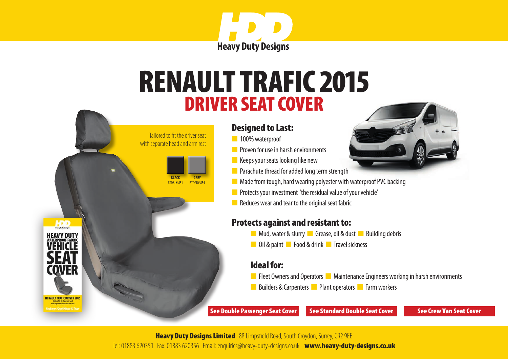

# <span id="page-1-0"></span>DRIVER SEAT COVER RENAULT TRAFIC 2015



 Tailored to fit the driver seat with separate head and arm rest

> **BLACK** RTDBLK-851

**HDD** 

COVFR

**RENAULT TRAFIC DRIVER 201** 

**GREY** RTDGRY-854

- n 100% waterproof
- **n** Proven for use in harsh environments
- $\blacksquare$  Keeps your seats looking like new
- **n** Parachute thread for added long term strength
- $\blacksquare$  Made from tough, hard wearing polyester with waterproof PVC backing
- **n** Protects your investment 'the residual value of your vehicle'
- $\blacksquare$  Reduces wear and tear to the original seat fabric

### Protects against and resistant to:

- **n** Mud, water & slurry **n** Grease, oil & dust **n** Building debris
- **n** Oil & paint **n** Food & drink **n** Travel sickness

### Ideal for:

- **n** Fleet Owners and Operators **n** Maintenance Engineers working in harsh environments
- n Builders & Carpenters **n** Plant operators **n** Farm workers

[See Double Passenger Seat Cover](#page-2-0) [See Standard Double Seat Cover](#page-3-0) [See Crew Van Seat Cover](#page-4-0)

**Heavy Duty Designs Limited** 88 Limpsfield Road, South Croydon, Surrey, CR2 9EE Tel: 01883 620351 Fax: 01883 620356 Email: enquiries@heavy-duty-designs.co.uk www.heavy-duty-designs.co.uk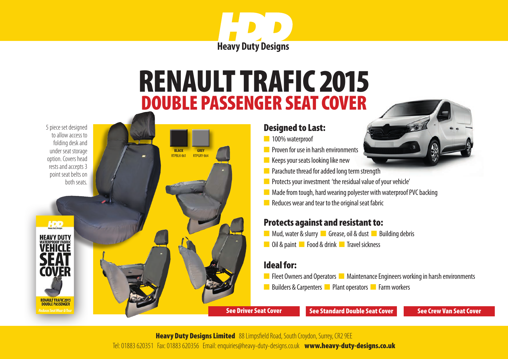

### DOUBLE PASSENGER SEAT COVER RENAULT TRAFIC 2015

**BLACK** RTPBLK-861

**GREY** RTPGRY-86

<span id="page-2-0"></span>5 piece set designed to allow access to folding desk and under seat storage option. Covers head rests and accepts 3 point seat belts on both seats.

HDD

**HEAVY DUTY** VFHICI F

COVER

**RENAULT TRAFIC 2015 DOUBLE PASSENGER Music Cont Monr & To** 



- n 100% waterproof
- **n** Proven for use in harsh environments
- $\blacksquare$  Keeps your seats looking like new
- $\blacksquare$  Parachute thread for added long term strength
- **n** Protects your investment 'the residual value of your vehicle'
- $\blacksquare$  Made from tough, hard wearing polyester with waterproof PVC backing
- $\blacksquare$  Reduces wear and tear to the original seat fabric

#### Protects against and resistant to:

- **n** Mud, water & slurry **n** Grease, oil & dust **n** Building debris
- **n** Oil & paint **n** Food & drink **n** Travel sickness

#### Ideal for:

- **n** Fleet Owners and Operators **n** Maintenance Engineers working in harsh environments
- n Builders & Carpenters **n** Plant operators **n** Farm workers

[See Driver Seat Cover](#page-1-0) [See Standard Double Seat Cover](#page-3-0) [See Crew Van Seat Cover](#page-4-0) See Crew Van Seat Cover

**Heavy Duty Designs Limited** 88 Limpsfield Road, South Croydon, Surrey, CR2 9EE

Tel: 01883 620351 Fax: 01883 620356 Email: enquiries@heavy-duty-designs.co.uk www.heavy-duty-designs.co.uk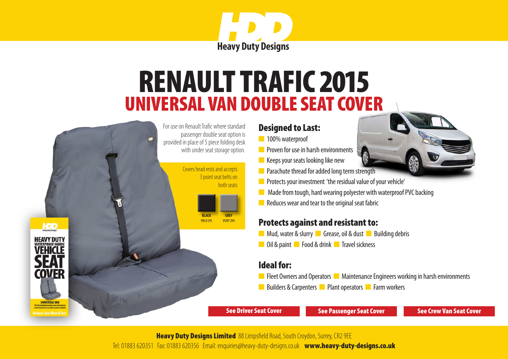

# RENAULT TRAFIC 2015 UNIVERSAL VAN DOUBLE SEAT COVER

<span id="page-3-0"></span>

#### Designed to Last:

- n 100% waterproof
- **n** Proven for use in harsh environments
- $\blacksquare$  Keeps your seats looking like new
- $\blacksquare$  Parachute thread for added long term strength
- **n** Protects your investment 'the residual value of your vehicle'
- $\blacksquare$  Made from tough, hard wearing polyester with waterproof PVC backing
- $\blacksquare$  Reduces wear and tear to the original seat fabric

#### Protects against and resistant to:

- **n** Mud, water & slurry **n** Grease, oil & dust **n** Building debris
- **n** Oil & paint **n** Food & drink **n** Travel sickness

#### Ideal for:

- **n** Fleet Owners and Operators **n** Maintenance Engineers working in harsh environments
- n Builders & Carpenters **n** Plant operators **n** Farm workers

[See Driver Seat Cover](#page-1-0) [See Passenger Seat Cover](#page-2-0) [See Crew Van Seat Cover](#page-4-0)

**Heavy Duty Designs Limited** 88 Limpsfield Road, South Croydon, Surrey, CR2 9EE

Tel: 01883 620351 Fax: 01883 620356 Email: enquiries@heavy-duty-designs.co.uk [www.heavy-duty-designs.co.uk](http://www.heavy-duty-designs.co.uk)